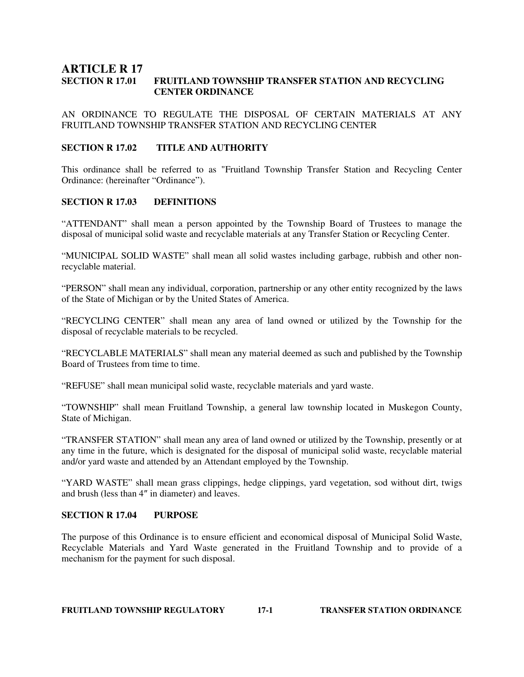## **ARTICLE R 17 SECTION R 17.01 FRUITLAND TOWNSHIP TRANSFER STATION AND RECYCLING CENTER ORDINANCE**

AN ORDINANCE TO REGULATE THE DISPOSAL OF CERTAIN MATERIALS AT ANY FRUITLAND TOWNSHIP TRANSFER STATION AND RECYCLING CENTER

#### **SECTION R 17.02 TITLE AND AUTHORITY**

This ordinance shall be referred to as "Fruitland Township Transfer Station and Recycling Center Ordinance: (hereinafter "Ordinance").

#### **SECTION R 17.03 DEFINITIONS**

"ATTENDANT" shall mean a person appointed by the Township Board of Trustees to manage the disposal of municipal solid waste and recyclable materials at any Transfer Station or Recycling Center.

"MUNICIPAL SOLID WASTE" shall mean all solid wastes including garbage, rubbish and other nonrecyclable material.

"PERSON" shall mean any individual, corporation, partnership or any other entity recognized by the laws of the State of Michigan or by the United States of America.

"RECYCLING CENTER" shall mean any area of land owned or utilized by the Township for the disposal of recyclable materials to be recycled.

"RECYCLABLE MATERIALS" shall mean any material deemed as such and published by the Township Board of Trustees from time to time.

"REFUSE" shall mean municipal solid waste, recyclable materials and yard waste.

"TOWNSHIP" shall mean Fruitland Township, a general law township located in Muskegon County, State of Michigan.

"TRANSFER STATION" shall mean any area of land owned or utilized by the Township, presently or at any time in the future, which is designated for the disposal of municipal solid waste, recyclable material and/or yard waste and attended by an Attendant employed by the Township.

"YARD WASTE" shall mean grass clippings, hedge clippings, yard vegetation, sod without dirt, twigs and brush (less than 4″ in diameter) and leaves.

#### **SECTION R 17.04 PURPOSE**

The purpose of this Ordinance is to ensure efficient and economical disposal of Municipal Solid Waste, Recyclable Materials and Yard Waste generated in the Fruitland Township and to provide of a mechanism for the payment for such disposal.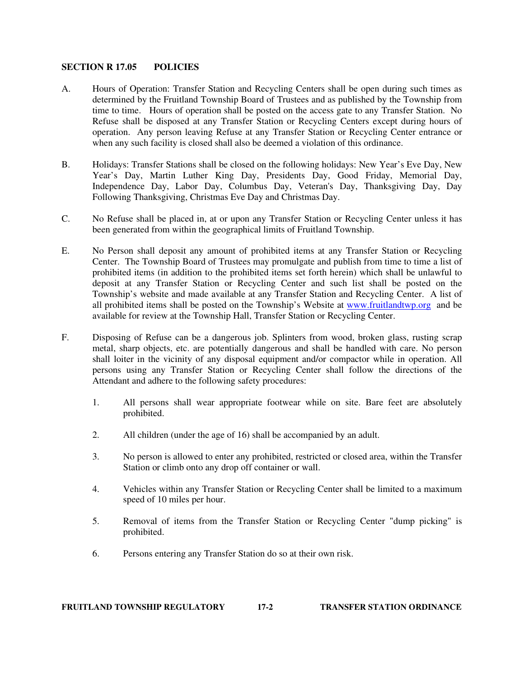#### **SECTION R 17.05 POLICIES**

- A. Hours of Operation: Transfer Station and Recycling Centers shall be open during such times as determined by the Fruitland Township Board of Trustees and as published by the Township from time to time. Hours of operation shall be posted on the access gate to any Transfer Station. No Refuse shall be disposed at any Transfer Station or Recycling Centers except during hours of operation. Any person leaving Refuse at any Transfer Station or Recycling Center entrance or when any such facility is closed shall also be deemed a violation of this ordinance.
- B. Holidays: Transfer Stations shall be closed on the following holidays: New Year's Eve Day, New Year's Day, Martin Luther King Day, Presidents Day, Good Friday, Memorial Day, Independence Day, Labor Day, Columbus Day, Veteran's Day, Thanksgiving Day, Day Following Thanksgiving, Christmas Eve Day and Christmas Day.
- C. No Refuse shall be placed in, at or upon any Transfer Station or Recycling Center unless it has been generated from within the geographical limits of Fruitland Township.
- E. No Person shall deposit any amount of prohibited items at any Transfer Station or Recycling Center. The Township Board of Trustees may promulgate and publish from time to time a list of prohibited items (in addition to the prohibited items set forth herein) which shall be unlawful to deposit at any Transfer Station or Recycling Center and such list shall be posted on the Township's website and made available at any Transfer Station and Recycling Center. A list of all prohibited items shall be posted on the Township's Website at www.fruitlandtwp.org and be available for review at the Township Hall, Transfer Station or Recycling Center.
- F. Disposing of Refuse can be a dangerous job. Splinters from wood, broken glass, rusting scrap metal, sharp objects, etc. are potentially dangerous and shall be handled with care. No person shall loiter in the vicinity of any disposal equipment and/or compactor while in operation. All persons using any Transfer Station or Recycling Center shall follow the directions of the Attendant and adhere to the following safety procedures:
	- 1. All persons shall wear appropriate footwear while on site. Bare feet are absolutely prohibited.
	- 2. All children (under the age of 16) shall be accompanied by an adult.
	- 3. No person is allowed to enter any prohibited, restricted or closed area, within the Transfer Station or climb onto any drop off container or wall.
	- 4. Vehicles within any Transfer Station or Recycling Center shall be limited to a maximum speed of 10 miles per hour.
	- 5. Removal of items from the Transfer Station or Recycling Center "dump picking" is prohibited.
	- 6. Persons entering any Transfer Station do so at their own risk.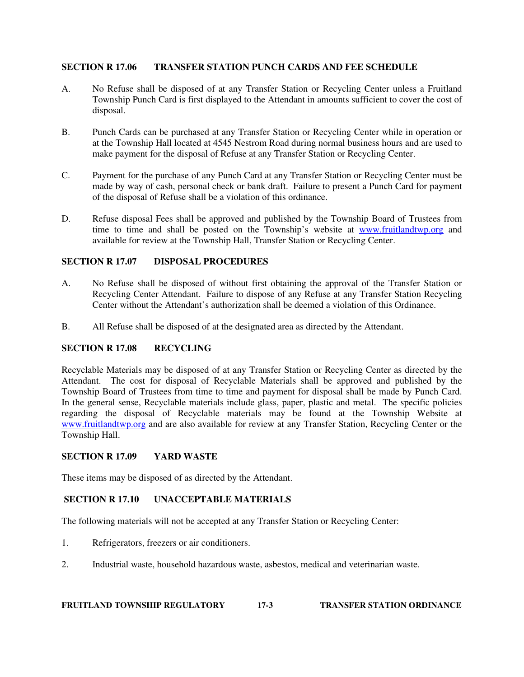### **SECTION R 17.06 TRANSFER STATION PUNCH CARDS AND FEE SCHEDULE**

- A. No Refuse shall be disposed of at any Transfer Station or Recycling Center unless a Fruitland Township Punch Card is first displayed to the Attendant in amounts sufficient to cover the cost of disposal.
- B. Punch Cards can be purchased at any Transfer Station or Recycling Center while in operation or at the Township Hall located at 4545 Nestrom Road during normal business hours and are used to make payment for the disposal of Refuse at any Transfer Station or Recycling Center.
- C. Payment for the purchase of any Punch Card at any Transfer Station or Recycling Center must be made by way of cash, personal check or bank draft. Failure to present a Punch Card for payment of the disposal of Refuse shall be a violation of this ordinance.
- D. Refuse disposal Fees shall be approved and published by the Township Board of Trustees from time to time and shall be posted on the Township's website at www.fruitlandtwp.org and available for review at the Township Hall, Transfer Station or Recycling Center.

### **SECTION R 17.07 DISPOSAL PROCEDURES**

- A. No Refuse shall be disposed of without first obtaining the approval of the Transfer Station or Recycling Center Attendant. Failure to dispose of any Refuse at any Transfer Station Recycling Center without the Attendant's authorization shall be deemed a violation of this Ordinance.
- B. All Refuse shall be disposed of at the designated area as directed by the Attendant.

## **SECTION R 17.08 RECYCLING**

Recyclable Materials may be disposed of at any Transfer Station or Recycling Center as directed by the Attendant. The cost for disposal of Recyclable Materials shall be approved and published by the Township Board of Trustees from time to time and payment for disposal shall be made by Punch Card. In the general sense, Recyclable materials include glass, paper, plastic and metal. The specific policies regarding the disposal of Recyclable materials may be found at the Township Website at www.fruitlandtwp.org and are also available for review at any Transfer Station, Recycling Center or the Township Hall.

### **SECTION R 17.09 YARD WASTE**

These items may be disposed of as directed by the Attendant.

### **SECTION R 17.10 UNACCEPTABLE MATERIALS**

The following materials will not be accepted at any Transfer Station or Recycling Center:

- 1. Refrigerators, freezers or air conditioners.
- 2. Industrial waste, household hazardous waste, asbestos, medical and veterinarian waste.